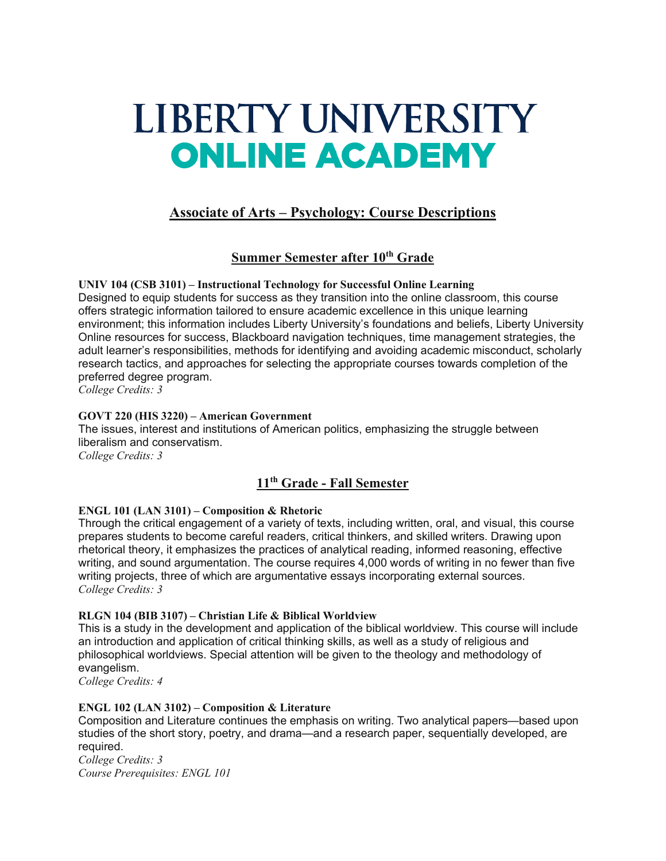# LIBERTY UNIVERSITY **ONLINE ACADEMY**

# **Associate of Arts – Psychology: Course Descriptions**

# **Summer Semester after 10th Grade**

**UNIV 104 (CSB 3101) – Instructional Technology for Successful Online Learning** Designed to equip students for success as they transition into the online classroom, this course offers strategic information tailored to ensure academic excellence in this unique learning environment; this information includes Liberty University's foundations and beliefs, Liberty University Online resources for success, Blackboard navigation techniques, time management strategies, the adult learner's responsibilities, methods for identifying and avoiding academic misconduct, scholarly research tactics, and approaches for selecting the appropriate courses towards completion of the preferred degree program.

*College Credits: 3*

## **GOVT 220 (HIS 3220) – American Government**

The issues, interest and institutions of American politics, emphasizing the struggle between liberalism and conservatism. *College Credits: 3*

# **11th Grade - Fall Semester**

## **ENGL 101 (LAN 3101) – Composition & Rhetoric**

Through the critical engagement of a variety of texts, including written, oral, and visual, this course prepares students to become careful readers, critical thinkers, and skilled writers. Drawing upon rhetorical theory, it emphasizes the practices of analytical reading, informed reasoning, effective writing, and sound argumentation. The course requires 4,000 words of writing in no fewer than five writing projects, three of which are argumentative essays incorporating external sources. *College Credits: 3*

## **RLGN 104 (BIB 3107) – Christian Life & Biblical Worldview**

This is a study in the development and application of the biblical worldview. This course will include an introduction and application of critical thinking skills, as well as a study of religious and philosophical worldviews. Special attention will be given to the theology and methodology of evangelism.

*College Credits: 4*

## **ENGL 102 (LAN 3102) – Composition & Literature**

Composition and Literature continues the emphasis on writing. Two analytical papers—based upon studies of the short story, poetry, and drama—and a research paper, sequentially developed, are required.

*College Credits: 3 Course Prerequisites: ENGL 101*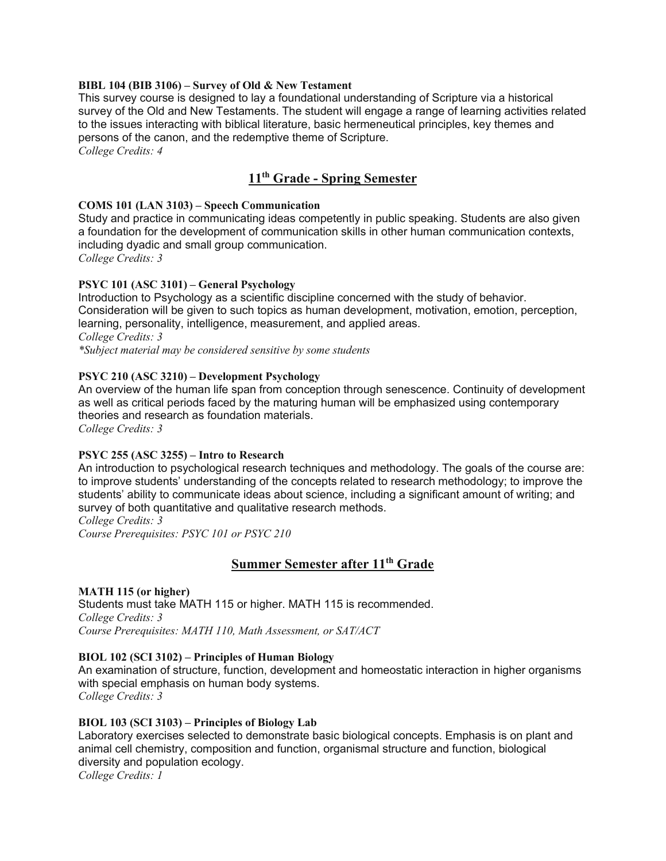#### **BIBL 104 (BIB 3106) – Survey of Old & New Testament**

This survey course is designed to lay a foundational understanding of Scripture via a historical survey of the Old and New Testaments. The student will engage a range of learning activities related to the issues interacting with biblical literature, basic hermeneutical principles, key themes and persons of the canon, and the redemptive theme of Scripture.

*College Credits: 4*

# **11th Grade - Spring Semester**

#### **COMS 101 (LAN 3103) – Speech Communication**

Study and practice in communicating ideas competently in public speaking. Students are also given a foundation for the development of communication skills in other human communication contexts, including dyadic and small group communication. *College Credits: 3*

### **PSYC 101 (ASC 3101) – General Psychology**

Introduction to Psychology as a scientific discipline concerned with the study of behavior. Consideration will be given to such topics as human development, motivation, emotion, perception, learning, personality, intelligence, measurement, and applied areas. *College Credits: 3 \*Subject material may be considered sensitive by some students*

### **PSYC 210 (ASC 3210) – Development Psychology**

An overview of the human life span from conception through senescence. Continuity of development as well as critical periods faced by the maturing human will be emphasized using contemporary theories and research as foundation materials.

*College Credits: 3*

#### **PSYC 255 (ASC 3255) – Intro to Research**

An introduction to psychological research techniques and methodology. The goals of the course are: to improve students' understanding of the concepts related to research methodology; to improve the students' ability to communicate ideas about science, including a significant amount of writing; and survey of both quantitative and qualitative research methods.

*College Credits: 3*

*Course Prerequisites: PSYC 101 or PSYC 210*

## **Summer Semester after 11th Grade**

#### **MATH 115 (or higher)**

Students must take MATH 115 or higher. MATH 115 is recommended. *College Credits: 3 Course Prerequisites: MATH 110, Math Assessment, or SAT/ACT*

#### **BIOL 102 (SCI 3102) – Principles of Human Biology**

An examination of structure, function, development and homeostatic interaction in higher organisms with special emphasis on human body systems. *College Credits: 3*

#### **BIOL 103 (SCI 3103) – Principles of Biology Lab**

Laboratory exercises selected to demonstrate basic biological concepts. Emphasis is on plant and animal cell chemistry, composition and function, organismal structure and function, biological diversity and population ecology.

*College Credits: 1*